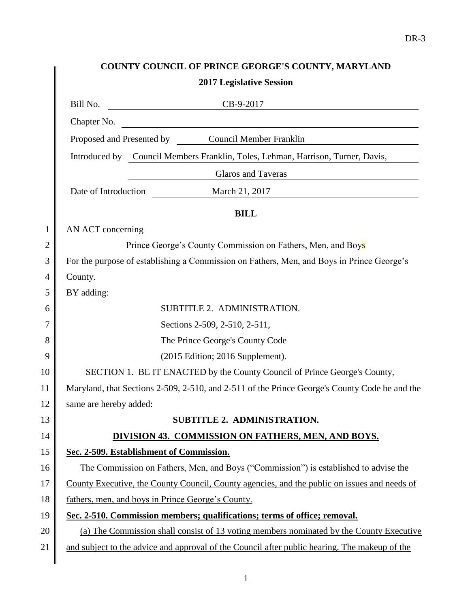| COUNTY COUNCIL OF PRINCE GEORGE'S COUNTY, MARYLAND                                            |
|-----------------------------------------------------------------------------------------------|
| <b>2017 Legislative Session</b>                                                               |
| Bill No.<br>$CB-9-2017$                                                                       |
| <u> 1989 - Johann Barn, fransk politik fotograf (d. 1989)</u><br>Chapter No.                  |
| Proposed and Presented by Council Member Franklin                                             |
| Introduced by Council Members Franklin, Toles, Lehman, Harrison, Turner, Davis,               |
| Glaros and Taveras                                                                            |
| Date of Introduction March 21, 2017                                                           |
| <b>BILL</b>                                                                                   |
| AN ACT concerning                                                                             |
| Prince George's County Commission on Fathers, Men, and Boys                                   |
| For the purpose of establishing a Commission on Fathers, Men, and Boys in Prince George's     |
| County.                                                                                       |
| BY adding:                                                                                    |
| SUBTITLE 2. ADMINISTRATION.                                                                   |
| Sections 2-509, 2-510, 2-511,                                                                 |
| The Prince George's County Code                                                               |
| (2015 Edition; 2016 Supplement).                                                              |
| SECTION 1. BE IT ENACTED by the County Council of Prince George's County,                     |
| Maryland, that Sections 2-509, 2-510, and 2-511 of the Prince George's County Code be and the |
| same are hereby added:                                                                        |
| <b>SUBTITLE 2. ADMINISTRATION.</b>                                                            |
| DIVISION 43. COMMISSION ON FATHERS, MEN, AND BOYS.                                            |
| Sec. 2-509. Establishment of Commission.                                                      |
| The Commission on Fathers, Men, and Boys ("Commission") is established to advise the          |
| County Executive, the County Council, County agencies, and the public on issues and needs of  |
| fathers, men, and boys in Prince George's County.                                             |
| Sec. 2-510. Commission members; qualifications; terms of office; removal.                     |
| (a) The Commission shall consist of 13 voting members nominated by the County Executive       |
| and subject to the advice and approval of the Council after public hearing. The makeup of the |
|                                                                                               |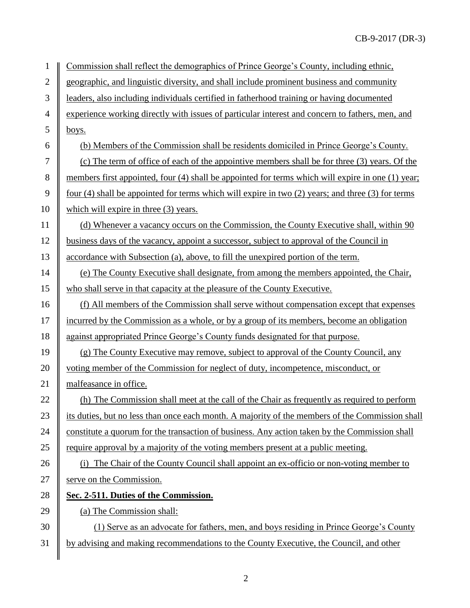| $\mathbf{1}$     | Commission shall reflect the demographics of Prince George's County, including ethnic,            |
|------------------|---------------------------------------------------------------------------------------------------|
| $\mathbf{2}$     | geographic, and linguistic diversity, and shall include prominent business and community          |
| $\mathfrak{Z}$   | leaders, also including individuals certified in fatherhood training or having documented         |
| $\overline{4}$   | experience working directly with issues of particular interest and concern to fathers, men, and   |
| 5                | boys.                                                                                             |
| 6                | (b) Members of the Commission shall be residents domiciled in Prince George's County.             |
| $\boldsymbol{7}$ | (c) The term of office of each of the appointive members shall be for three (3) years. Of the     |
| $8\,$            | members first appointed, four (4) shall be appointed for terms which will expire in one (1) year; |
| 9                | four (4) shall be appointed for terms which will expire in two (2) years; and three (3) for terms |
| 10               | which will expire in three $(3)$ years.                                                           |
| 11               | (d) Whenever a vacancy occurs on the Commission, the County Executive shall, within 90            |
| 12               | business days of the vacancy, appoint a successor, subject to approval of the Council in          |
| 13               | accordance with Subsection (a), above, to fill the unexpired portion of the term.                 |
| 14               | (e) The County Executive shall designate, from among the members appointed, the Chair,            |
| 15               | who shall serve in that capacity at the pleasure of the County Executive.                         |
| 16               | (f) All members of the Commission shall serve without compensation except that expenses           |
| 17               | incurred by the Commission as a whole, or by a group of its members, become an obligation         |
| 18               | against appropriated Prince George's County funds designated for that purpose.                    |
| 19               | (g) The County Executive may remove, subject to approval of the County Council, any               |
| 20               | voting member of the Commission for neglect of duty, incompetence, misconduct, or                 |
| 21               | malfeasance in office.                                                                            |
| 22               | (h) The Commission shall meet at the call of the Chair as frequently as required to perform       |
| 23               | its duties, but no less than once each month. A majority of the members of the Commission shall   |
| 24               | constitute a quorum for the transaction of business. Any action taken by the Commission shall     |
| 25               | require approval by a majority of the voting members present at a public meeting.                 |
| 26               | The Chair of the County Council shall appoint an ex-officio or non-voting member to<br>(i)        |
| 27               | serve on the Commission.                                                                          |
| 28               | Sec. 2-511. Duties of the Commission.                                                             |
| 29               | (a) The Commission shall:                                                                         |
| 30               | (1) Serve as an advocate for fathers, men, and boys residing in Prince George's County            |
| 31               | by advising and making recommendations to the County Executive, the Council, and other            |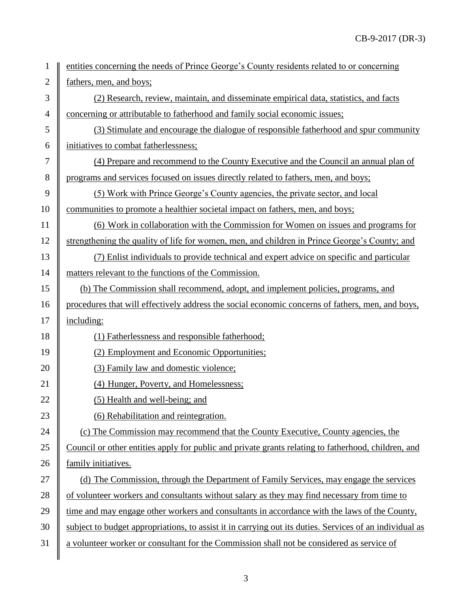| 1                | entities concerning the needs of Prince George's County residents related to or concerning              |
|------------------|---------------------------------------------------------------------------------------------------------|
| $\mathbf{2}$     | fathers, men, and boys;                                                                                 |
| 3                | (2) Research, review, maintain, and disseminate empirical data, statistics, and facts                   |
| $\overline{4}$   | concerning or attributable to fatherhood and family social economic issues;                             |
| 5                | (3) Stimulate and encourage the dialogue of responsible fatherhood and spur community                   |
| 6                | initiatives to combat fatherlessness;                                                                   |
| $\boldsymbol{7}$ | (4) Prepare and recommend to the County Executive and the Council an annual plan of                     |
| 8                | programs and services focused on issues directly related to fathers, men, and boys;                     |
| 9                | (5) Work with Prince George's County agencies, the private sector, and local                            |
| 10               | communities to promote a healthier societal impact on fathers, men, and boys;                           |
| 11               | (6) Work in collaboration with the Commission for Women on issues and programs for                      |
| 12               | strengthening the quality of life for women, men, and children in Prince George's County; and           |
| 13               | (7) Enlist individuals to provide technical and expert advice on specific and particular                |
| 14               | matters relevant to the functions of the Commission.                                                    |
| 15               | (b) The Commission shall recommend, adopt, and implement policies, programs, and                        |
| 16               | procedures that will effectively address the social economic concerns of fathers, men, and boys,        |
| 17               | including:                                                                                              |
| 18               | (1) Fatherlessness and responsible fatherhood;                                                          |
| 19               | (2) Employment and Economic Opportunities;                                                              |
| 20               | (3) Family law and domestic violence;                                                                   |
| 21               | (4) Hunger, Poverty, and Homelessness;                                                                  |
| 22               | (5) Health and well-being; and                                                                          |
| 23               | (6) Rehabilitation and reintegration.                                                                   |
| 24               | (c) The Commission may recommend that the County Executive, County agencies, the                        |
| 25               | Council or other entities apply for public and private grants relating to fatherhood, children, and     |
| 26               | family initiatives.                                                                                     |
| 27               | (d) The Commission, through the Department of Family Services, may engage the services                  |
| 28               | of volunteer workers and consultants without salary as they may find necessary from time to             |
| 29               | time and may engage other workers and consultants in accordance with the laws of the County,            |
| 30               | subject to budget appropriations, to assist it in carrying out its duties. Services of an individual as |
| 31               | a volunteer worker or consultant for the Commission shall not be considered as service of               |